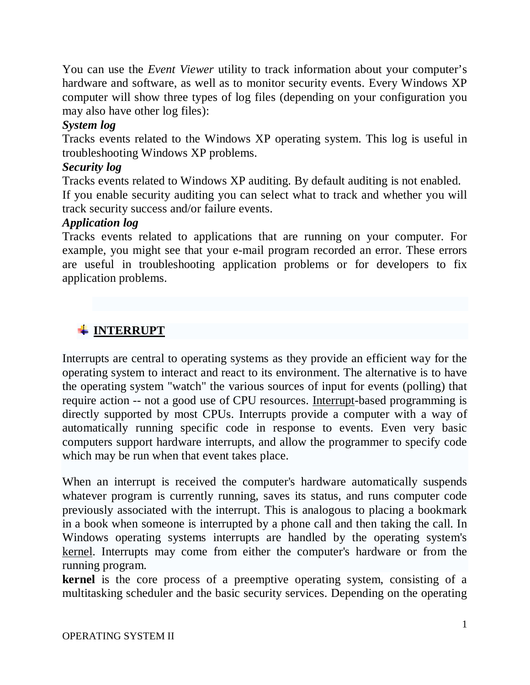You can use the *Event Viewer* utility to track information about your computer's hardware and software, as well as to monitor security events. Every Windows XP computer will show three types of log files (depending on your configuration you may also have other log files):

# *System log*

Tracks events related to the Windows XP operating system. This log is useful in troubleshooting Windows XP problems.

# *Security log*

Tracks events related to Windows XP auditing. By default auditing is not enabled. If you enable security auditing you can select what to track and whether you will track security success and/or failure events.

### *Application log*

Tracks events related to applications that are running on your computer. For example, you might see that your e-mail program recorded an error. These errors are useful in troubleshooting application problems or for developers to fix application problems.

# **INTERRUPT**

Interrupts are central to operating systems as they provide an efficient way for the operating system to interact and react to its environment. The alternative is to have the operating system "watch" the various sources of input for events (polling) that require action -- not a good use of CPU resources. Interrupt-based programming is directly supported by most CPUs. Interrupts provide a computer with a way of automatically running specific code in response to events. Even very basic computers support hardware interrupts, and allow the programmer to specify code which may be run when that event takes place.

When an interrupt is received the computer's hardware automatically suspends whatever program is currently running, saves its status, and runs computer code previously associated with the interrupt. This is analogous to placing a bookmark in a book when someone is interrupted by a phone call and then taking the call. In Windows operating systems interrupts are handled by the operating system's kernel. Interrupts may come from either the computer's hardware or from the running program.

**kernel** is the core process of a preemptive operating system, consisting of a multitasking scheduler and the basic security services. Depending on the operating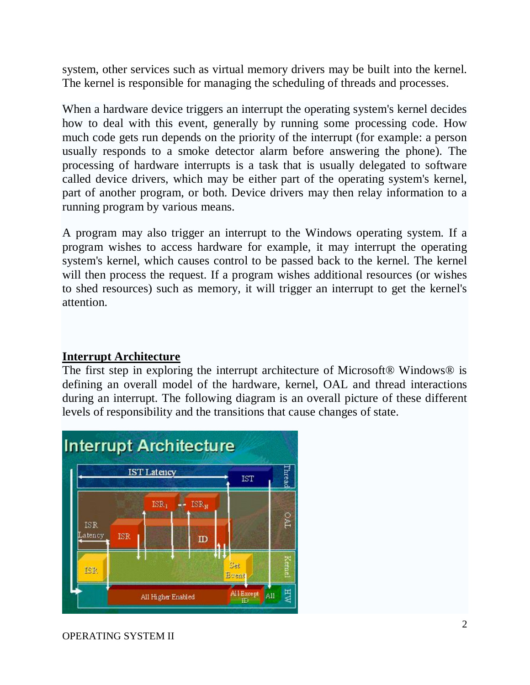system, other services such as virtual memory drivers may be built into the kernel. The kernel is responsible for managing the scheduling of threads and processes.

When a hardware device triggers an interrupt the operating system's kernel decides how to deal with this event, generally by running some processing code. How much code gets run depends on the priority of the interrupt (for example: a person usually responds to a smoke detector alarm before answering the phone). The processing of hardware interrupts is a task that is usually delegated to software called device drivers, which may be either part of the operating system's kernel, part of another program, or both. Device drivers may then relay information to a running program by various means.

A program may also trigger an interrupt to the Windows operating system. If a program wishes to access hardware for example, it may interrupt the operating system's kernel, which causes control to be passed back to the kernel. The kernel will then process the request. If a program wishes additional resources (or wishes to shed resources) such as memory, it will trigger an interrupt to get the kernel's attention.

#### **Interrupt Architecture**

The first step in exploring the interrupt architecture of Microsoft® Windows® is defining an overall model of the hardware, kernel, OAL and thread interactions during an interrupt. The following diagram is an overall picture of these different levels of responsibility and the transitions that cause changes of state.

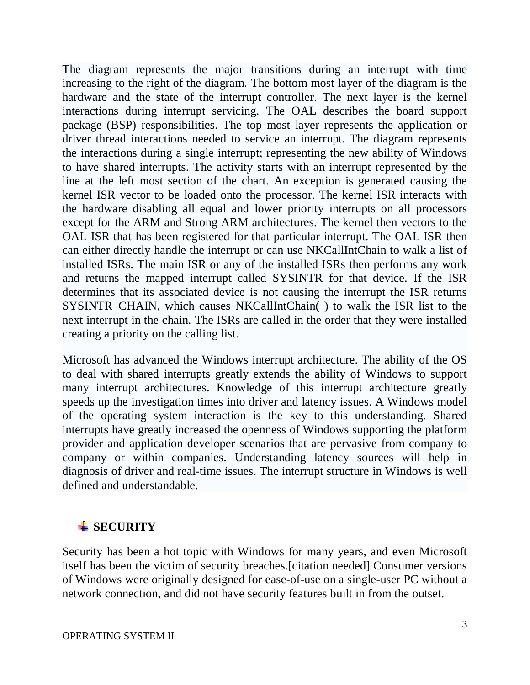The diagram represents the major transitions during an interrupt with time increasing to the right of the diagram. The bottom most layer of the diagram is the hardware and the state of the interrupt controller. The next layer is the kernel interactions during interrupt servicing. The OAL describes the board support package (BSP) responsibilities. The top most layer represents the application or driver thread interactions needed to service an interrupt. The diagram represents the interactions during a single interrupt; representing the new ability of Windows to have shared interrupts. The activity starts with an interrupt represented by the line at the left most section of the chart. An exception is generated causing the kernel ISR vector to be loaded onto the processor. The kernel ISR interacts with the hardware disabling all equal and lower priority interrupts on all processors except for the ARM and Strong ARM architectures. The kernel then vectors to the OAL ISR that has been registered for that particular interrupt. The OAL ISR then can either directly handle the interrupt or can use NKCallIntChain to walk a list of installed ISRs. The main ISR or any of the installed ISRs then performs any work and returns the mapped interrupt called SYSINTR for that device. If the ISR determines that its associated device is not causing the interrupt the ISR returns SYSINTR\_CHAIN, which causes NKCallIntChain( ) to walk the ISR list to the next interrupt in the chain. The ISRs are called in the order that they were installed creating a priority on the calling list.

Microsoft has advanced the Windows interrupt architecture. The ability of the OS to deal with shared interrupts greatly extends the ability of Windows to support many interrupt architectures. Knowledge of this interrupt architecture greatly speeds up the investigation times into driver and latency issues. A Windows model of the operating system interaction is the key to this understanding. Shared interrupts have greatly increased the openness of Windows supporting the platform provider and application developer scenarios that are pervasive from company to company or within companies. Understanding latency sources will help in diagnosis of driver and real-time issues. The interrupt structure in Windows is well defined and understandable.

# **SECURITY**

Security has been a hot topic with Windows for many years, and even Microsoft itself has been the victim of security breaches.[citation needed] Consumer versions of Windows were originally designed for ease-of-use on a single-user PC without a network connection, and did not have security features built in from the outset.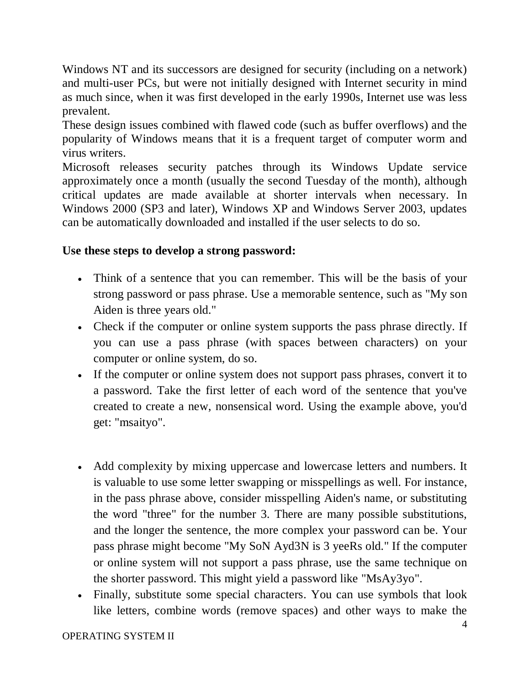Windows NT and its successors are designed for security (including on a network) and multi-user PCs, but were not initially designed with Internet security in mind as much since, when it was first developed in the early 1990s, Internet use was less prevalent.

These design issues combined with flawed code (such as buffer overflows) and the popularity of Windows means that it is a frequent target of computer worm and virus writers.

Microsoft releases security patches through its Windows Update service approximately once a month (usually the second Tuesday of the month), although critical updates are made available at shorter intervals when necessary. In Windows 2000 (SP3 and later), Windows XP and Windows Server 2003, updates can be automatically downloaded and installed if the user selects to do so.

# **Use these steps to develop a strong password:**

- Think of a sentence that you can remember. This will be the basis of your strong password or pass phrase. Use a memorable sentence, such as "My son Aiden is three years old."
- Check if the computer or online system supports the pass phrase directly. If you can use a pass phrase (with spaces between characters) on your computer or online system, do so.
- If the computer or online system does not support pass phrases, convert it to a password. Take the first letter of each word of the sentence that you've created to create a new, nonsensical word. Using the example above, you'd get: "msaityo".
- Add complexity by mixing uppercase and lowercase letters and numbers. It is valuable to use some letter swapping or misspellings as well. For instance, in the pass phrase above, consider misspelling Aiden's name, or substituting the word "three" for the number 3. There are many possible substitutions, and the longer the sentence, the more complex your password can be. Your pass phrase might become "My SoN Ayd3N is 3 yeeRs old." If the computer or online system will not support a pass phrase, use the same technique on the shorter password. This might yield a password like "MsAy3yo".
- Finally, substitute some special characters. You can use symbols that look like letters, combine words (remove spaces) and other ways to make the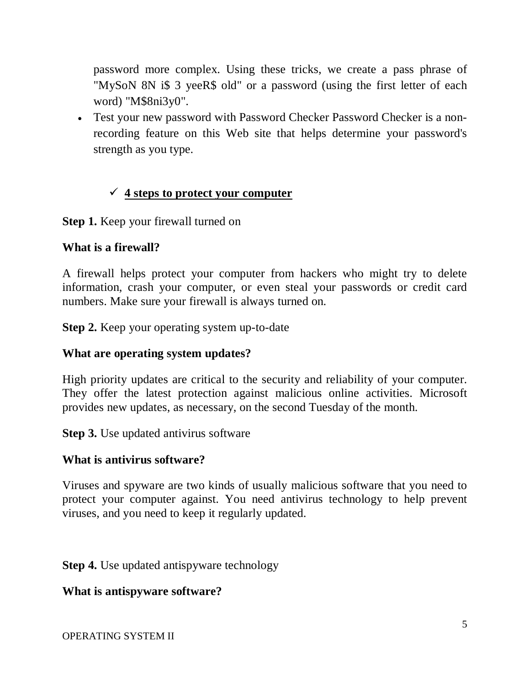password more complex. Using these tricks, we create a pass phrase of "MySoN 8N i\$ 3 yeeR\$ old" or a password (using the first letter of each word) "M\$8ni3y0".

 Test your new password with Password Checker Password Checker is a nonrecording feature on this Web site that helps determine your password's strength as you type.

# $\checkmark$  4 steps to protect your computer

**Step 1.** Keep your firewall turned on

#### **What is a firewall?**

A firewall helps protect your computer from hackers who might try to delete information, crash your computer, or even steal your passwords or credit card numbers. Make sure your firewall is always turned on.

**Step 2.** Keep your operating system up-to-date

#### **What are operating system updates?**

High priority updates are critical to the security and reliability of your computer. They offer the latest protection against malicious online activities. Microsoft provides new updates, as necessary, on the second Tuesday of the month.

**Step 3.** Use updated antivirus software

#### **What is antivirus software?**

Viruses and spyware are two kinds of usually malicious software that you need to protect your computer against. You need antivirus technology to help prevent viruses, and you need to keep it regularly updated.

**Step 4.** Use updated antispyware technology

#### **What is antispyware software?**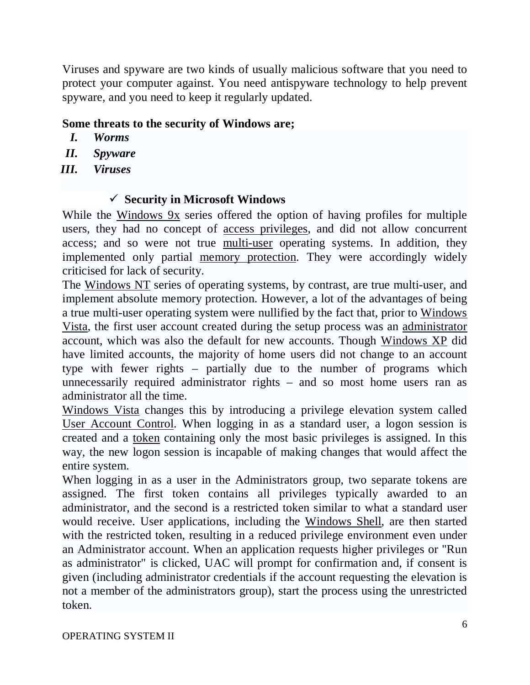Viruses and spyware are two kinds of usually malicious software that you need to protect your computer against. You need antispyware technology to help prevent spyware, and you need to keep it regularly updated.

### **Some threats to the security of Windows are;**

- *I. Worms*
- *II. Spyware*
- *III. Viruses*

# **Security in Microsoft Windows**

While the Windows 9x series offered the option of having profiles for multiple users, they had no concept of access privileges, and did not allow concurrent access; and so were not true multi-user operating systems. In addition, they implemented only partial memory protection. They were accordingly widely criticised for lack of security.

The Windows NT series of operating systems, by contrast, are true multi-user, and implement absolute memory protection. However, a lot of the advantages of being a true multi-user operating system were nullified by the fact that, prior to Windows Vista, the first user account created during the setup process was an administrator account, which was also the default for new accounts. Though Windows XP did have limited accounts, the majority of home users did not change to an account type with fewer rights – partially due to the number of programs which unnecessarily required administrator rights – and so most home users ran as administrator all the time.

Windows Vista changes this by introducing a privilege elevation system called User Account Control. When logging in as a standard user, a logon session is created and a token containing only the most basic privileges is assigned. In this way, the new logon session is incapable of making changes that would affect the entire system.

When logging in as a user in the Administrators group, two separate tokens are assigned. The first token contains all privileges typically awarded to an administrator, and the second is a restricted token similar to what a standard user would receive. User applications, including the Windows Shell, are then started with the restricted token, resulting in a reduced privilege environment even under an Administrator account. When an application requests higher privileges or "Run as administrator" is clicked, UAC will prompt for confirmation and, if consent is given (including administrator credentials if the account requesting the elevation is not a member of the administrators group), start the process using the unrestricted token.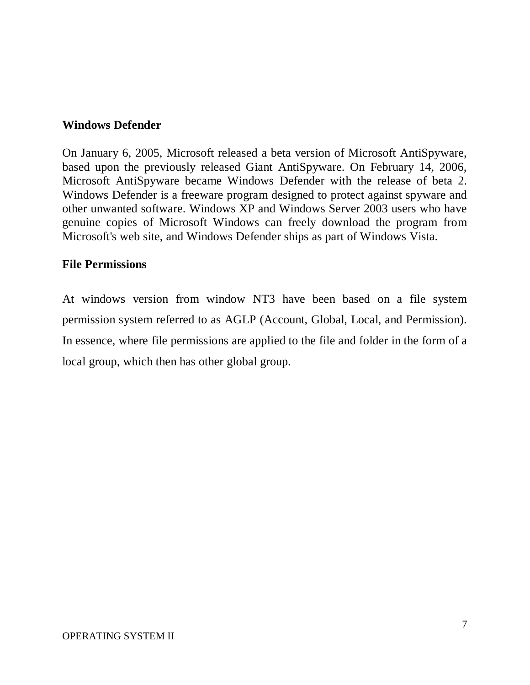#### **Windows Defender**

On January 6, 2005, Microsoft released a beta version of Microsoft AntiSpyware, based upon the previously released Giant AntiSpyware. On February 14, 2006, Microsoft AntiSpyware became Windows Defender with the release of beta 2. Windows Defender is a freeware program designed to protect against spyware and other unwanted software. Windows XP and Windows Server 2003 users who have genuine copies of Microsoft Windows can freely download the program from Microsoft's web site, and Windows Defender ships as part of Windows Vista.

#### **File Permissions**

At windows version from window NT3 have been based on a file system permission system referred to as AGLP (Account, Global, Local, and Permission). In essence, where file permissions are applied to the file and folder in the form of a local group, which then has other global group.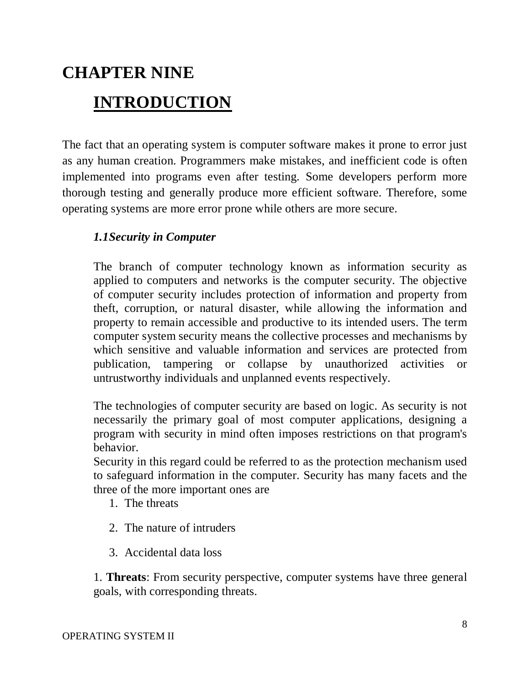# **CHAPTER NINE INTRODUCTION**

The fact that an operating system is computer software makes it prone to error just as any human creation. Programmers make mistakes, and inefficient code is often implemented into programs even after testing. Some developers perform more thorough testing and generally produce more efficient software. Therefore, some operating systems are more error prone while others are more secure.

### *1.1Security in Computer*

The branch of computer technology known as information security as applied to computers and networks is the computer security. The objective of computer security includes protection of information and property from theft, corruption, or natural disaster, while allowing the information and property to remain accessible and productive to its intended users. The term computer system security means the collective processes and mechanisms by which sensitive and valuable information and services are protected from publication, tampering or collapse by unauthorized activities or untrustworthy individuals and unplanned events respectively.

The technologies of computer security are based on logic. As security is not necessarily the primary goal of most computer applications, designing a program with security in mind often imposes restrictions on that program's behavior.

Security in this regard could be referred to as the protection mechanism used to safeguard information in the computer. Security has many facets and the three of the more important ones are

- 1. The threats
- 2. The nature of intruders
- 3. Accidental data loss

1. **Threats**: From security perspective, computer systems have three general goals, with corresponding threats.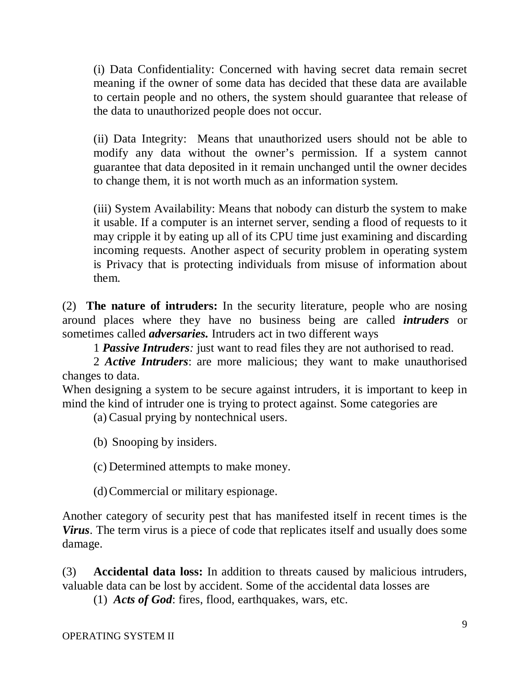(i) Data Confidentiality: Concerned with having secret data remain secret meaning if the owner of some data has decided that these data are available to certain people and no others, the system should guarantee that release of the data to unauthorized people does not occur.

(ii) Data Integrity: Means that unauthorized users should not be able to modify any data without the owner's permission. If a system cannot guarantee that data deposited in it remain unchanged until the owner decides to change them, it is not worth much as an information system.

(iii) System Availability: Means that nobody can disturb the system to make it usable. If a computer is an internet server, sending a flood of requests to it may cripple it by eating up all of its CPU time just examining and discarding incoming requests. Another aspect of security problem in operating system is Privacy that is protecting individuals from misuse of information about them.

(2) **The nature of intruders:** In the security literature, people who are nosing around places where they have no business being are called *intruders* or sometimes called *adversaries.* Intruders act in two different ways

1 *Passive Intruders:* just want to read files they are not authorised to read.

2 *Active Intruders*: are more malicious; they want to make unauthorised changes to data.

When designing a system to be secure against intruders, it is important to keep in mind the kind of intruder one is trying to protect against. Some categories are

(a) Casual prying by nontechnical users.

(b) Snooping by insiders.

(c) Determined attempts to make money.

(d)Commercial or military espionage.

Another category of security pest that has manifested itself in recent times is the *Virus*. The term virus is a piece of code that replicates itself and usually does some damage.

(3) **Accidental data loss:** In addition to threats caused by malicious intruders, valuable data can be lost by accident. Some of the accidental data losses are

(1) *Acts of God*: fires, flood, earthquakes, wars, etc.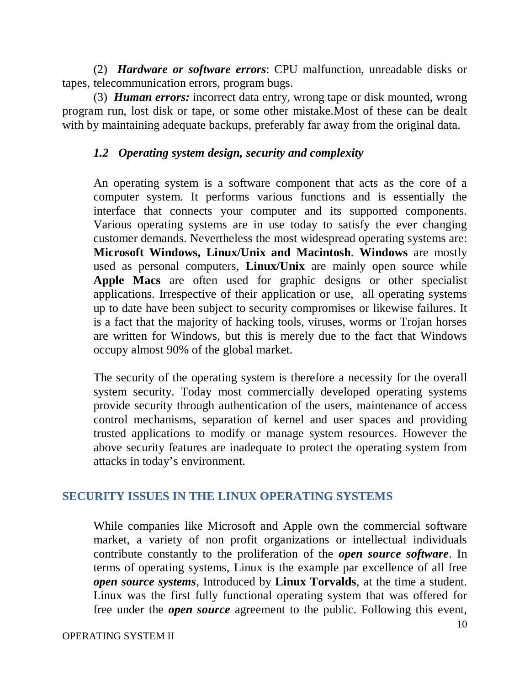(2) *Hardware or software errors*: CPU malfunction, unreadable disks or tapes, telecommunication errors, program bugs.

(3) *Human errors:* incorrect data entry, wrong tape or disk mounted, wrong program run, lost disk or tape, or some other mistake.Most of these can be dealt with by maintaining adequate backups, preferably far away from the original data.

## *1.2 Operating system design, security and complexity*

An operating system is a software component that acts as the core of a computer system. It performs various functions and is essentially the interface that connects your computer and its supported components. Various operating systems are in use today to satisfy the ever changing customer demands. Nevertheless the most widespread operating systems are: **Microsoft Windows, Linux/Unix and Macintosh**. **Windows** are mostly used as personal computers, **Linux/Unix** are mainly open source while **Apple Macs** are often used for graphic designs or other specialist applications. Irrespective of their application or use, all operating systems up to date have been subject to security compromises or likewise failures. It is a fact that the majority of hacking tools, viruses, worms or Trojan horses are written for Windows, but this is merely due to the fact that Windows occupy almost 90% of the global market.

The security of the operating system is therefore a necessity for the overall system security. Today most commercially developed operating systems provide security through authentication of the users, maintenance of access control mechanisms, separation of kernel and user spaces and providing trusted applications to modify or manage system resources. However the above security features are inadequate to protect the operating system from attacks in today's environment.

# **SECURITY ISSUES IN THE LINUX OPERATING SYSTEMS**

While companies like Microsoft and Apple own the commercial software market, a variety of non profit organizations or intellectual individuals contribute constantly to the proliferation of the *open source software*. In terms of operating systems, Linux is the example par excellence of all free *open source systems*, Introduced by **Linux Torvalds**, at the time a student. Linux was the first fully functional operating system that was offered for free under the *open source* agreement to the public. Following this event,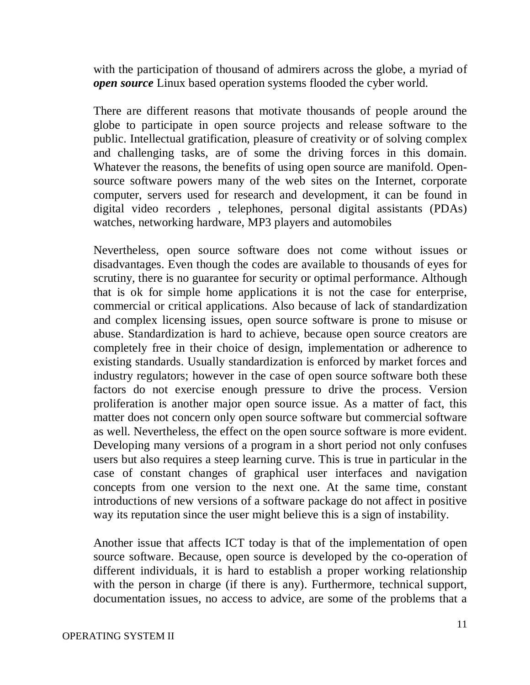with the participation of thousand of admirers across the globe, a myriad of *open source* Linux based operation systems flooded the cyber world.

There are different reasons that motivate thousands of people around the globe to participate in open source projects and release software to the public. Intellectual gratification, pleasure of creativity or of solving complex and challenging tasks, are of some the driving forces in this domain. Whatever the reasons, the benefits of using open source are manifold. Opensource software powers many of the web sites on the Internet, corporate computer, servers used for research and development, it can be found in digital video recorders , telephones, personal digital assistants (PDAs) watches, networking hardware, MP3 players and automobiles

Nevertheless, open source software does not come without issues or disadvantages. Even though the codes are available to thousands of eyes for scrutiny, there is no guarantee for security or optimal performance. Although that is ok for simple home applications it is not the case for enterprise, commercial or critical applications. Also because of lack of standardization and complex licensing issues, open source software is prone to misuse or abuse. Standardization is hard to achieve, because open source creators are completely free in their choice of design, implementation or adherence to existing standards. Usually standardization is enforced by market forces and industry regulators; however in the case of open source software both these factors do not exercise enough pressure to drive the process. Version proliferation is another major open source issue. As a matter of fact, this matter does not concern only open source software but commercial software as well. Nevertheless, the effect on the open source software is more evident. Developing many versions of a program in a short period not only confuses users but also requires a steep learning curve. This is true in particular in the case of constant changes of graphical user interfaces and navigation concepts from one version to the next one. At the same time, constant introductions of new versions of a software package do not affect in positive way its reputation since the user might believe this is a sign of instability.

Another issue that affects ICT today is that of the implementation of open source software. Because, open source is developed by the co-operation of different individuals, it is hard to establish a proper working relationship with the person in charge (if there is any). Furthermore, technical support, documentation issues, no access to advice, are some of the problems that a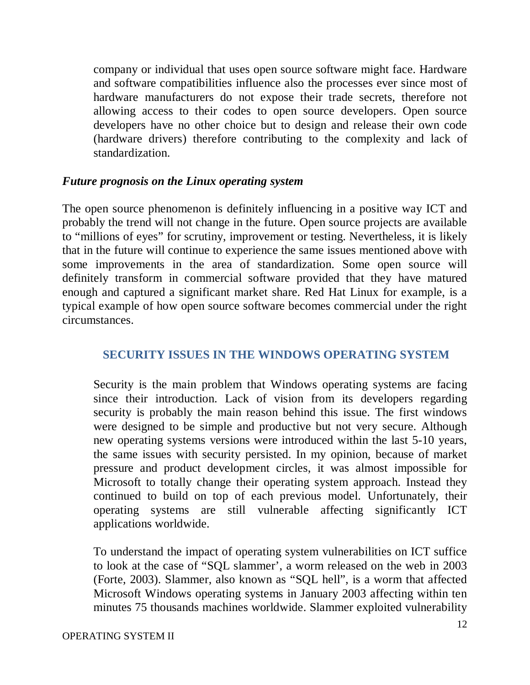company or individual that uses open source software might face. Hardware and software compatibilities influence also the processes ever since most of hardware manufacturers do not expose their trade secrets, therefore not allowing access to their codes to open source developers. Open source developers have no other choice but to design and release their own code (hardware drivers) therefore contributing to the complexity and lack of standardization.

#### *Future prognosis on the Linux operating system*

The open source phenomenon is definitely influencing in a positive way ICT and probably the trend will not change in the future. Open source projects are available to "millions of eyes" for scrutiny, improvement or testing. Nevertheless, it is likely that in the future will continue to experience the same issues mentioned above with some improvements in the area of standardization. Some open source will definitely transform in commercial software provided that they have matured enough and captured a significant market share. Red Hat Linux for example, is a typical example of how open source software becomes commercial under the right circumstances.

#### **SECURITY ISSUES IN THE WINDOWS OPERATING SYSTEM**

Security is the main problem that Windows operating systems are facing since their introduction. Lack of vision from its developers regarding security is probably the main reason behind this issue. The first windows were designed to be simple and productive but not very secure. Although new operating systems versions were introduced within the last 5-10 years, the same issues with security persisted. In my opinion, because of market pressure and product development circles, it was almost impossible for Microsoft to totally change their operating system approach. Instead they continued to build on top of each previous model. Unfortunately, their operating systems are still vulnerable affecting significantly ICT applications worldwide.

To understand the impact of operating system vulnerabilities on ICT suffice to look at the case of "SQL slammer', a worm released on the web in 2003 (Forte, 2003). Slammer, also known as "SQL hell", is a worm that affected Microsoft Windows operating systems in January 2003 affecting within ten minutes 75 thousands machines worldwide. Slammer exploited vulnerability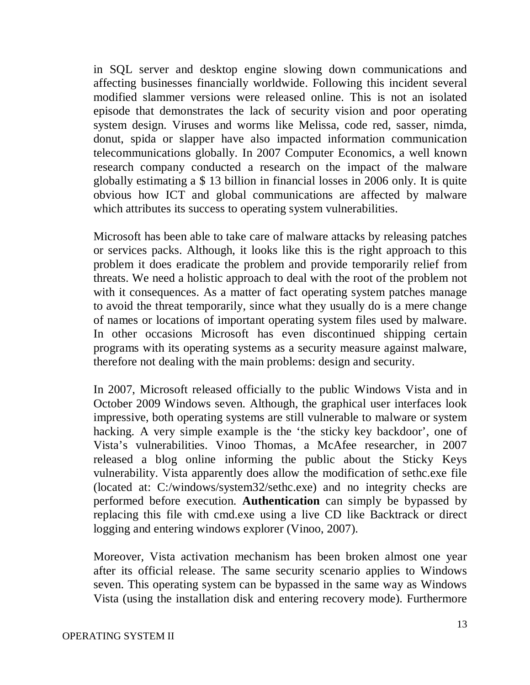in SQL server and desktop engine slowing down communications and affecting businesses financially worldwide. Following this incident several modified slammer versions were released online. This is not an isolated episode that demonstrates the lack of security vision and poor operating system design. Viruses and worms like Melissa, code red, sasser, nimda, donut, spida or slapper have also impacted information communication telecommunications globally. In 2007 Computer Economics, a well known research company conducted a research on the impact of the malware globally estimating a \$ 13 billion in financial losses in 2006 only. It is quite obvious how ICT and global communications are affected by malware which attributes its success to operating system vulnerabilities.

Microsoft has been able to take care of malware attacks by releasing patches or services packs. Although, it looks like this is the right approach to this problem it does eradicate the problem and provide temporarily relief from threats. We need a holistic approach to deal with the root of the problem not with it consequences. As a matter of fact operating system patches manage to avoid the threat temporarily, since what they usually do is a mere change of names or locations of important operating system files used by malware. In other occasions Microsoft has even discontinued shipping certain programs with its operating systems as a security measure against malware, therefore not dealing with the main problems: design and security.

In 2007, Microsoft released officially to the public Windows Vista and in October 2009 Windows seven. Although, the graphical user interfaces look impressive, both operating systems are still vulnerable to malware or system hacking. A very simple example is the 'the sticky key backdoor', one of Vista's vulnerabilities. Vinoo Thomas, a McAfee researcher, in 2007 released a blog online informing the public about the Sticky Keys vulnerability. Vista apparently does allow the modification of sethc.exe file (located at: C:/windows/system32/sethc.exe) and no integrity checks are performed before execution. **Authentication** can simply be bypassed by replacing this file with cmd.exe using a live CD like Backtrack or direct logging and entering windows explorer (Vinoo, 2007).

Moreover, Vista activation mechanism has been broken almost one year after its official release. The same security scenario applies to Windows seven. This operating system can be bypassed in the same way as Windows Vista (using the installation disk and entering recovery mode). Furthermore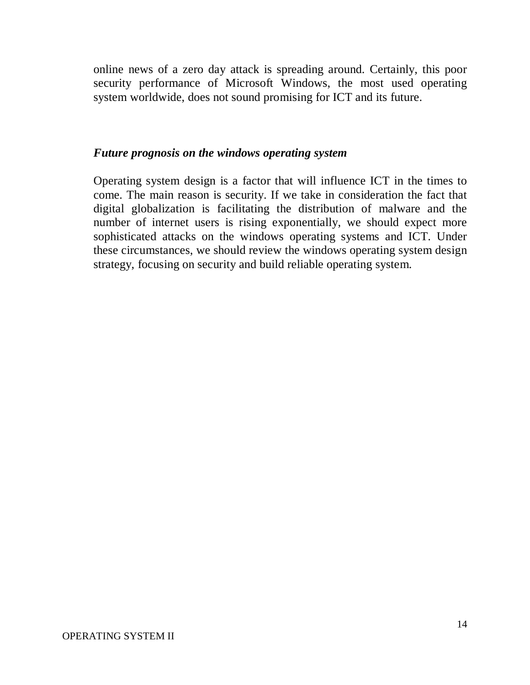online news of a zero day attack is spreading around. Certainly, this poor security performance of Microsoft Windows, the most used operating system worldwide, does not sound promising for ICT and its future.

#### *Future prognosis on the windows operating system*

Operating system design is a factor that will influence ICT in the times to come. The main reason is security. If we take in consideration the fact that digital globalization is facilitating the distribution of malware and the number of internet users is rising exponentially, we should expect more sophisticated attacks on the windows operating systems and ICT. Under these circumstances, we should review the windows operating system design strategy, focusing on security and build reliable operating system.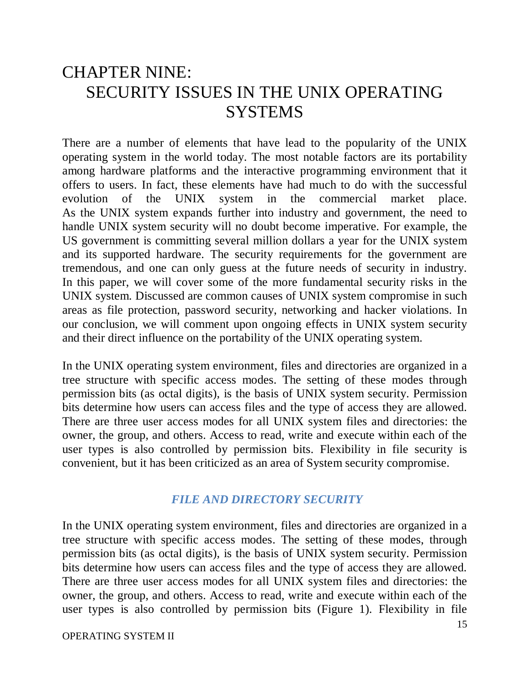# CHAPTER NINE: SECURITY ISSUES IN THE UNIX OPERATING **SYSTEMS**

There are a number of elements that have lead to the popularity of the UNIX operating system in the world today. The most notable factors are its portability among hardware platforms and the interactive programming environment that it offers to users. In fact, these elements have had much to do with the successful evolution of the UNIX system in the commercial market place. As the UNIX system expands further into industry and government, the need to handle UNIX system security will no doubt become imperative. For example, the US government is committing several million dollars a year for the UNIX system and its supported hardware. The security requirements for the government are tremendous, and one can only guess at the future needs of security in industry. In this paper, we will cover some of the more fundamental security risks in the UNIX system. Discussed are common causes of UNIX system compromise in such areas as file protection, password security, networking and hacker violations. In our conclusion, we will comment upon ongoing effects in UNIX system security and their direct influence on the portability of the UNIX operating system.

In the UNIX operating system environment, files and directories are organized in a tree structure with specific access modes. The setting of these modes through permission bits (as octal digits), is the basis of UNIX system security. Permission bits determine how users can access files and the type of access they are allowed. There are three user access modes for all UNIX system files and directories: the owner, the group, and others. Access to read, write and execute within each of the user types is also controlled by permission bits. Flexibility in file security is convenient, but it has been criticized as an area of System security compromise.

#### *FILE AND DIRECTORY SECURITY*

In the UNIX operating system environment, files and directories are organized in a tree structure with specific access modes. The setting of these modes, through permission bits (as octal digits), is the basis of UNIX system security. Permission bits determine how users can access files and the type of access they are allowed. There are three user access modes for all UNIX system files and directories: the owner, the group, and others. Access to read, write and execute within each of the user types is also controlled by permission bits (Figure 1). Flexibility in file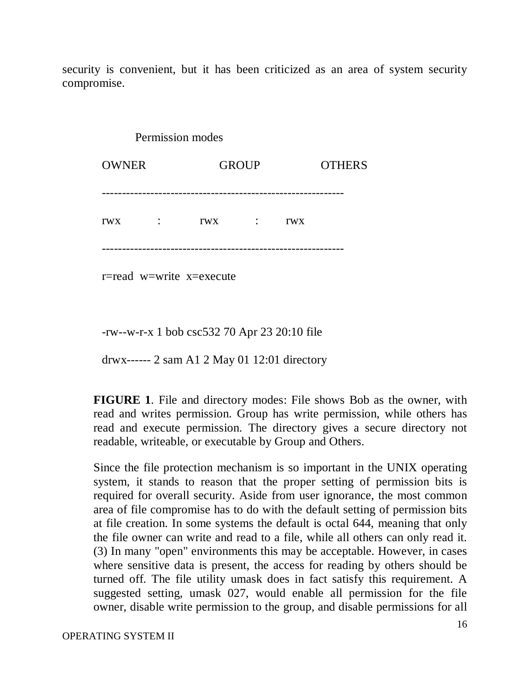security is convenient, but it has been criticized as an area of system security compromise.

 Permission modes OWNER GROUP OTHERS ----------------------------------------------------------- rwx : rwx : rwx ----------------------------------------------------------- r=read w=write x=execute

-rw--w-r-x 1 bob csc532 70 Apr 23 20:10 file

drwx------ 2 sam A1 2 May 01 12:01 directory

**FIGURE 1**. File and directory modes: File shows Bob as the owner, with read and writes permission. Group has write permission, while others has read and execute permission. The directory gives a secure directory not readable, writeable, or executable by Group and Others.

Since the file protection mechanism is so important in the UNIX operating system, it stands to reason that the proper setting of permission bits is required for overall security. Aside from user ignorance, the most common area of file compromise has to do with the default setting of permission bits at file creation. In some systems the default is octal 644, meaning that only the file owner can write and read to a file, while all others can only read it. (3) In many "open" environments this may be acceptable. However, in cases where sensitive data is present, the access for reading by others should be turned off. The file utility umask does in fact satisfy this requirement. A suggested setting, umask 027, would enable all permission for the file owner, disable write permission to the group, and disable permissions for all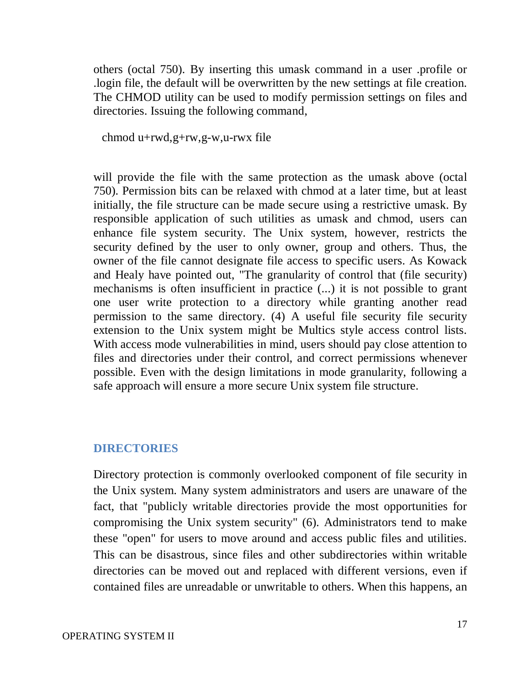others (octal 750). By inserting this umask command in a user .profile or .login file, the default will be overwritten by the new settings at file creation. The CHMOD utility can be used to modify permission settings on files and directories. Issuing the following command,

chmod u+rwd,g+rw,g-w,u-rwx file

will provide the file with the same protection as the umask above (octal 750). Permission bits can be relaxed with chmod at a later time, but at least initially, the file structure can be made secure using a restrictive umask. By responsible application of such utilities as umask and chmod, users can enhance file system security. The Unix system, however, restricts the security defined by the user to only owner, group and others. Thus, the owner of the file cannot designate file access to specific users. As Kowack and Healy have pointed out, "The granularity of control that (file security) mechanisms is often insufficient in practice (...) it is not possible to grant one user write protection to a directory while granting another read permission to the same directory. (4) A useful file security file security extension to the Unix system might be Multics style access control lists. With access mode vulnerabilities in mind, users should pay close attention to files and directories under their control, and correct permissions whenever possible. Even with the design limitations in mode granularity, following a safe approach will ensure a more secure Unix system file structure.

#### **DIRECTORIES**

Directory protection is commonly overlooked component of file security in the Unix system. Many system administrators and users are unaware of the fact, that "publicly writable directories provide the most opportunities for compromising the Unix system security" (6). Administrators tend to make these "open" for users to move around and access public files and utilities. This can be disastrous, since files and other subdirectories within writable directories can be moved out and replaced with different versions, even if contained files are unreadable or unwritable to others. When this happens, an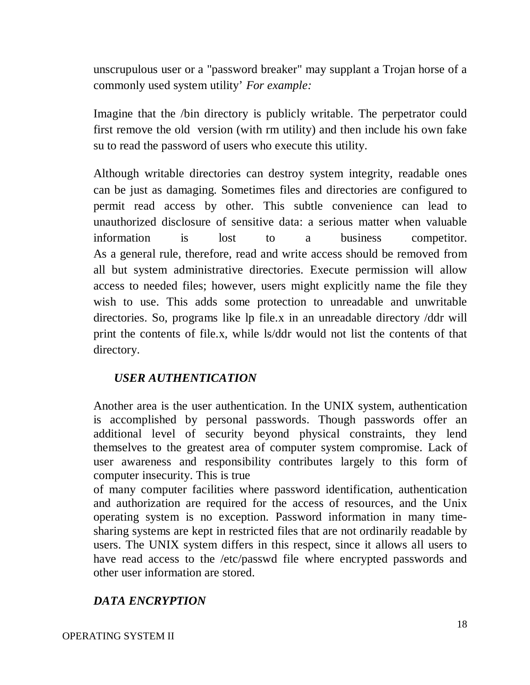unscrupulous user or a "password breaker" may supplant a Trojan horse of a commonly used system utility' *For example:*

Imagine that the /bin directory is publicly writable. The perpetrator could first remove the old version (with rm utility) and then include his own fake su to read the password of users who execute this utility.

Although writable directories can destroy system integrity, readable ones can be just as damaging. Sometimes files and directories are configured to permit read access by other. This subtle convenience can lead to unauthorized disclosure of sensitive data: a serious matter when valuable information is lost to a business competitor. As a general rule, therefore, read and write access should be removed from all but system administrative directories. Execute permission will allow access to needed files; however, users might explicitly name the file they wish to use. This adds some protection to unreadable and unwritable directories. So, programs like lp file.x in an unreadable directory /ddr will print the contents of file.x, while ls/ddr would not list the contents of that directory.

# *USER AUTHENTICATION*

Another area is the user authentication. In the UNIX system, authentication is accomplished by personal passwords. Though passwords offer an additional level of security beyond physical constraints, they lend themselves to the greatest area of computer system compromise. Lack of user awareness and responsibility contributes largely to this form of computer insecurity. This is true

of many computer facilities where password identification, authentication and authorization are required for the access of resources, and the Unix operating system is no exception. Password information in many timesharing systems are kept in restricted files that are not ordinarily readable by users. The UNIX system differs in this respect, since it allows all users to have read access to the /etc/passwd file where encrypted passwords and other user information are stored.

# *DATA ENCRYPTION*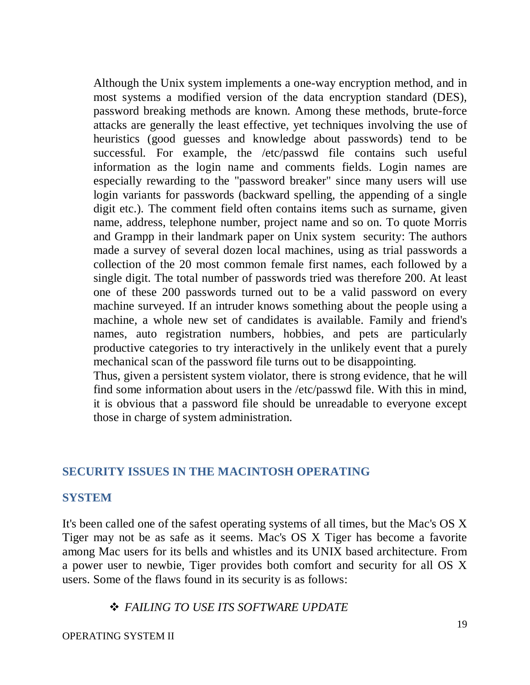Although the Unix system implements a one-way encryption method, and in most systems a modified version of the data encryption standard (DES), password breaking methods are known. Among these methods, brute-force attacks are generally the least effective, yet techniques involving the use of heuristics (good guesses and knowledge about passwords) tend to be successful. For example, the /etc/passwd file contains such useful information as the login name and comments fields. Login names are especially rewarding to the "password breaker" since many users will use login variants for passwords (backward spelling, the appending of a single digit etc.). The comment field often contains items such as surname, given name, address, telephone number, project name and so on. To quote Morris and Grampp in their landmark paper on Unix system security: The authors made a survey of several dozen local machines, using as trial passwords a collection of the 20 most common female first names, each followed by a single digit. The total number of passwords tried was therefore 200. At least one of these 200 passwords turned out to be a valid password on every machine surveyed. If an intruder knows something about the people using a machine, a whole new set of candidates is available. Family and friend's names, auto registration numbers, hobbies, and pets are particularly productive categories to try interactively in the unlikely event that a purely mechanical scan of the password file turns out to be disappointing.

Thus, given a persistent system violator, there is strong evidence, that he will find some information about users in the /etc/passwd file. With this in mind, it is obvious that a password file should be unreadable to everyone except those in charge of system administration.

#### **SECURITY ISSUES IN THE MACINTOSH OPERATING**

#### **SYSTEM**

It's been called one of the safest operating systems of all times, but the Mac's OS X Tiger may not be as safe as it seems. Mac's OS X Tiger has become a favorite among Mac users for its bells and whistles and its UNIX based architecture. From a power user to newbie, Tiger provides both comfort and security for all OS X users. Some of the flaws found in its security is as follows:

#### *FAILING TO USE ITS SOFTWARE UPDATE*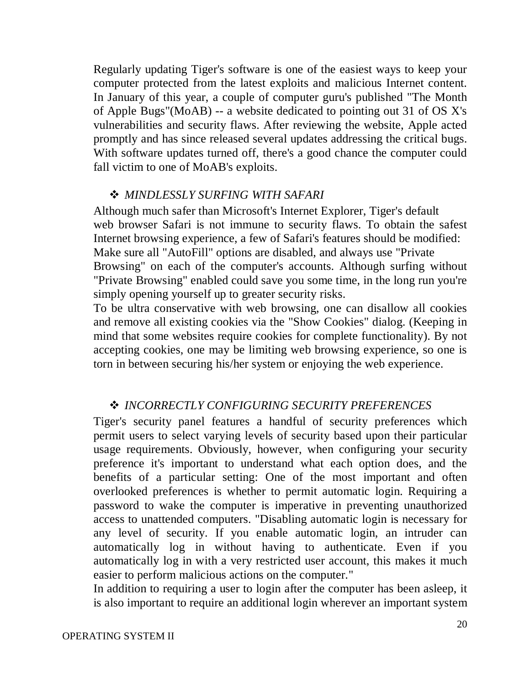Regularly updating Tiger's software is one of the easiest ways to keep your computer protected from the latest exploits and malicious Internet content. In January of this year, a couple of computer guru's published "The Month of Apple Bugs"(MoAB) -- a website dedicated to pointing out 31 of OS X's vulnerabilities and security flaws. After reviewing the website, Apple acted promptly and has since released several updates addressing the critical bugs. With software updates turned off, there's a good chance the computer could fall victim to one of MoAB's exploits.

#### *MINDLESSLY SURFING WITH SAFARI*

Although much safer than Microsoft's Internet Explorer, Tiger's default web browser Safari is not immune to security flaws. To obtain the safest Internet browsing experience, a few of Safari's features should be modified: Make sure all "AutoFill" options are disabled, and always use "Private Browsing" on each of the computer's accounts. Although surfing without "Private Browsing" enabled could save you some time, in the long run you're simply opening yourself up to greater security risks.

To be ultra conservative with web browsing, one can disallow all cookies and remove all existing cookies via the "Show Cookies" dialog. (Keeping in mind that some websites require cookies for complete functionality). By not accepting cookies, one may be limiting web browsing experience, so one is torn in between securing his/her system or enjoying the web experience.

# *INCORRECTLY CONFIGURING SECURITY PREFERENCES*

Tiger's security panel features a handful of security preferences which permit users to select varying levels of security based upon their particular usage requirements. Obviously, however, when configuring your security preference it's important to understand what each option does, and the benefits of a particular setting: One of the most important and often overlooked preferences is whether to permit automatic login. Requiring a password to wake the computer is imperative in preventing unauthorized access to unattended computers. "Disabling automatic login is necessary for any level of security. If you enable automatic login, an intruder can automatically log in without having to authenticate. Even if you automatically log in with a very restricted user account, this makes it much easier to perform malicious actions on the computer."

In addition to requiring a user to login after the computer has been asleep, it is also important to require an additional login wherever an important system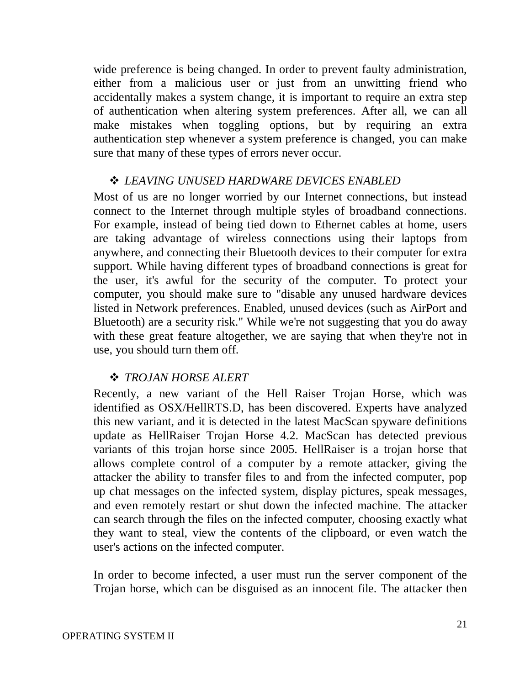wide preference is being changed. In order to prevent faulty administration, either from a malicious user or just from an unwitting friend who accidentally makes a system change, it is important to require an extra step of authentication when altering system preferences. After all, we can all make mistakes when toggling options, but by requiring an extra authentication step whenever a system preference is changed, you can make sure that many of these types of errors never occur.

### *LEAVING UNUSED HARDWARE DEVICES ENABLED*

Most of us are no longer worried by our Internet connections, but instead connect to the Internet through multiple styles of broadband connections. For example, instead of being tied down to Ethernet cables at home, users are taking advantage of wireless connections using their laptops from anywhere, and connecting their Bluetooth devices to their computer for extra support. While having different types of broadband connections is great for the user, it's awful for the security of the computer. To protect your computer, you should make sure to "disable any unused hardware devices listed in Network preferences. Enabled, unused devices (such as AirPort and Bluetooth) are a security risk." While we're not suggesting that you do away with these great feature altogether, we are saying that when they're not in use, you should turn them off.

#### *TROJAN HORSE ALERT*

Recently, a new variant of the Hell Raiser Trojan Horse, which was identified as OSX/HellRTS.D, has been discovered. Experts have analyzed this new variant, and it is detected in the latest MacScan spyware definitions update as HellRaiser Trojan Horse 4.2. MacScan has detected previous variants of this trojan horse since 2005. HellRaiser is a trojan horse that allows complete control of a computer by a remote attacker, giving the attacker the ability to transfer files to and from the infected computer, pop up chat messages on the infected system, display pictures, speak messages, and even remotely restart or shut down the infected machine. The attacker can search through the files on the infected computer, choosing exactly what they want to steal, view the contents of the clipboard, or even watch the user's actions on the infected computer.

In order to become infected, a user must run the server component of the Trojan horse, which can be disguised as an innocent file. The attacker then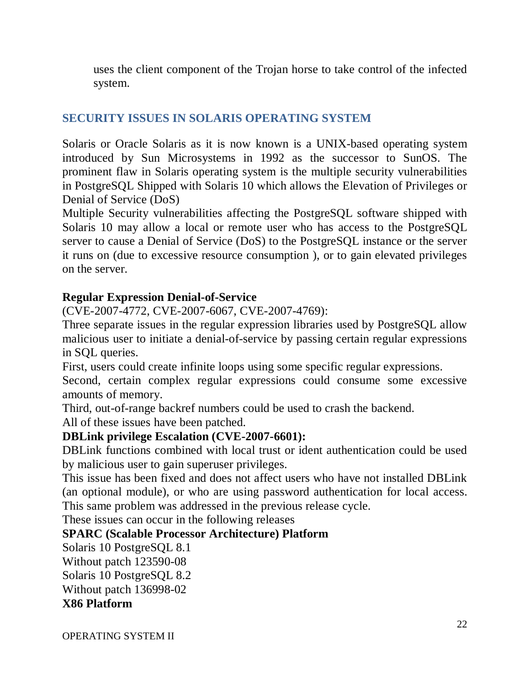uses the client component of the Trojan horse to take control of the infected system.

# **SECURITY ISSUES IN SOLARIS OPERATING SYSTEM**

Solaris or Oracle Solaris as it is now known is a UNIX-based operating system introduced by Sun Microsystems in 1992 as the successor to SunOS. The prominent flaw in Solaris operating system is the multiple security vulnerabilities in PostgreSQL Shipped with Solaris 10 which allows the Elevation of Privileges or Denial of Service (DoS)

Multiple Security vulnerabilities affecting the PostgreSQL software shipped with Solaris 10 may allow a local or remote user who has access to the PostgreSQL server to cause a Denial of Service (DoS) to the PostgreSQL instance or the server it runs on (due to excessive resource consumption ), or to gain elevated privileges on the server.

# **Regular Expression Denial-of-Service**

(CVE-2007-4772, CVE-2007-6067, CVE-2007-4769):

Three separate issues in the regular expression libraries used by PostgreSQL allow malicious user to initiate a denial-of-service by passing certain regular expressions in SQL queries.

First, users could create infinite loops using some specific regular expressions.

Second, certain complex regular expressions could consume some excessive amounts of memory.

Third, out-of-range backref numbers could be used to crash the backend.

All of these issues have been patched.

# **DBLink privilege Escalation (CVE-2007-6601):**

DBLink functions combined with local trust or ident authentication could be used by malicious user to gain superuser privileges.

This issue has been fixed and does not affect users who have not installed DBLink (an optional module), or who are using password authentication for local access. This same problem was addressed in the previous release cycle.

These issues can occur in the following releases

# **SPARC (Scalable Processor Architecture) Platform**

Solaris 10 PostgreSQL 8.1 Without patch 123590-08 Solaris 10 PostgreSQL 8.2 Without patch 136998-02 **X86 Platform**

OPERATING SYSTEM II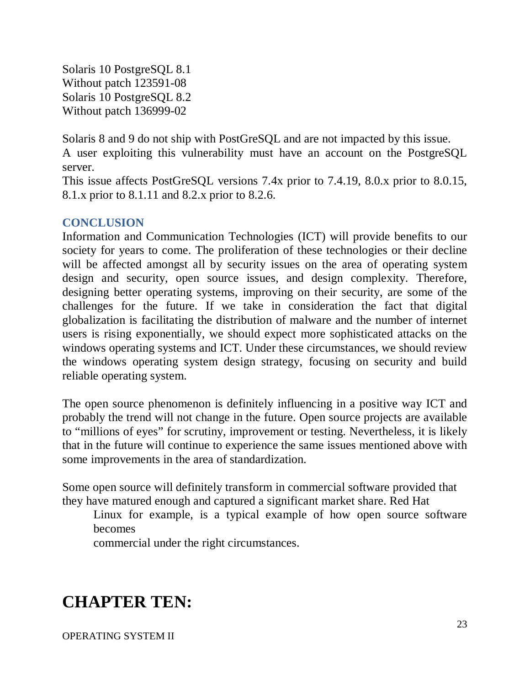Solaris 10 PostgreSQL 8.1 Without patch 123591-08 Solaris 10 PostgreSQL 8.2 Without patch 136999-02

Solaris 8 and 9 do not ship with PostGreSQL and are not impacted by this issue. A user exploiting this vulnerability must have an account on the PostgreSQL server.

This issue affects PostGreSQL versions 7.4x prior to 7.4.19, 8.0.x prior to 8.0.15, 8.1.x prior to 8.1.11 and 8.2.x prior to 8.2.6.

# **CONCLUSION**

Information and Communication Technologies (ICT) will provide benefits to our society for years to come. The proliferation of these technologies or their decline will be affected amongst all by security issues on the area of operating system design and security, open source issues, and design complexity. Therefore, designing better operating systems, improving on their security, are some of the challenges for the future. If we take in consideration the fact that digital globalization is facilitating the distribution of malware and the number of internet users is rising exponentially, we should expect more sophisticated attacks on the windows operating systems and ICT. Under these circumstances, we should review the windows operating system design strategy, focusing on security and build reliable operating system.

The open source phenomenon is definitely influencing in a positive way ICT and probably the trend will not change in the future. Open source projects are available to "millions of eyes" for scrutiny, improvement or testing. Nevertheless, it is likely that in the future will continue to experience the same issues mentioned above with some improvements in the area of standardization.

Some open source will definitely transform in commercial software provided that they have matured enough and captured a significant market share. Red Hat

Linux for example, is a typical example of how open source software becomes

commercial under the right circumstances.

# **CHAPTER TEN:**

OPERATING SYSTEM II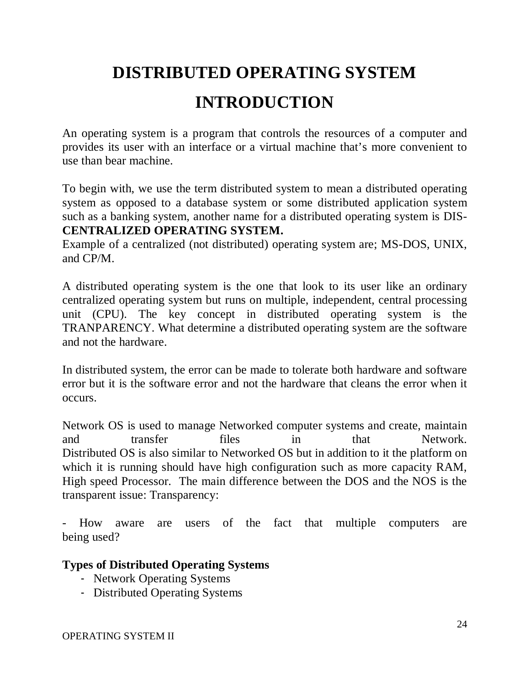# **DISTRIBUTED OPERATING SYSTEM INTRODUCTION**

An operating system is a program that controls the resources of a computer and provides its user with an interface or a virtual machine that's more convenient to use than bear machine.

To begin with, we use the term distributed system to mean a distributed operating system as opposed to a database system or some distributed application system such as a banking system, another name for a distributed operating system is DIS-**CENTRALIZED OPERATING SYSTEM.**

Example of a centralized (not distributed) operating system are; MS-DOS, UNIX, and CP/M.

A distributed operating system is the one that look to its user like an ordinary centralized operating system but runs on multiple, independent, central processing unit (CPU). The key concept in distributed operating system is the TRANPARENCY. What determine a distributed operating system are the software and not the hardware.

In distributed system, the error can be made to tolerate both hardware and software error but it is the software error and not the hardware that cleans the error when it occurs.

Network OS is used to manage Networked computer systems and create, maintain and transfer files in that Network. Distributed OS is also similar to Networked OS but in addition to it the platform on which it is running should have high configuration such as more capacity RAM, High speed Processor. The main difference between the DOS and the NOS is the transparent issue: Transparency:

- How aware are users of the fact that multiple computers are being used?

#### **Types of Distributed Operating Systems**

- Network Operating Systems
- Distributed Operating Systems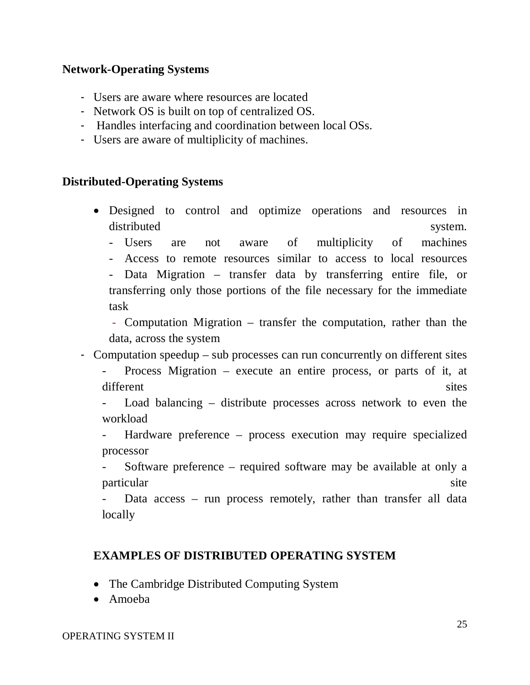#### **Network-Operating Systems**

- Users are aware where resources are located
- Network OS is built on top of centralized OS.
- Handles interfacing and coordination between local OSs.
- Users are aware of multiplicity of machines.

#### **Distributed-Operating Systems**

- Designed to control and optimize operations and resources in distributed system.
	- Users are not aware of multiplicity of machines
	- Access to remote resources similar to access to local resources

- Data Migration – transfer data by transferring entire file, or transferring only those portions of the file necessary for the immediate task

- Computation Migration – transfer the computation, rather than the data, across the system

- Computation speedup sub processes can run concurrently on different sites
	- Process Migration execute an entire process, or parts of it, at different sites sites
	- Load balancing  $-$  distribute processes across network to even the workload
	- Hardware preference process execution may require specialized processor
	- Software preference required software may be available at only a particular site
	- Data access run process remotely, rather than transfer all data locally

# **EXAMPLES OF DISTRIBUTED OPERATING SYSTEM**

- The Cambridge Distributed Computing System
- Amoeba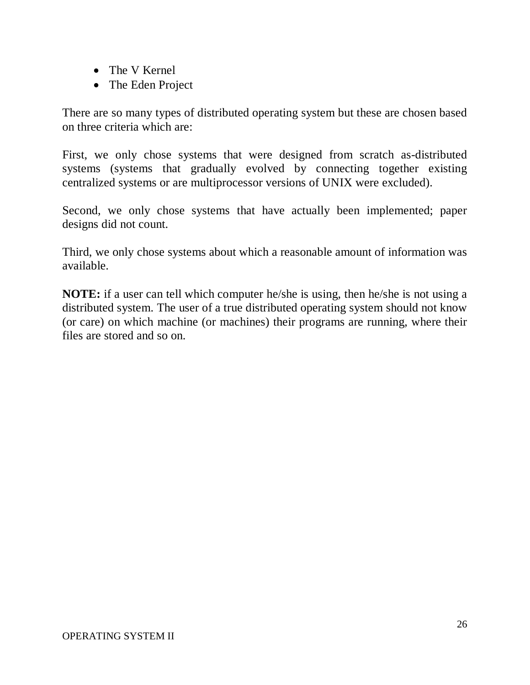- The V Kernel
- The Eden Project

There are so many types of distributed operating system but these are chosen based on three criteria which are:

First, we only chose systems that were designed from scratch as-distributed systems (systems that gradually evolved by connecting together existing centralized systems or are multiprocessor versions of UNIX were excluded).

Second, we only chose systems that have actually been implemented; paper designs did not count.

Third, we only chose systems about which a reasonable amount of information was available.

**NOTE:** if a user can tell which computer he/she is using, then he/she is not using a distributed system. The user of a true distributed operating system should not know (or care) on which machine (or machines) their programs are running, where their files are stored and so on.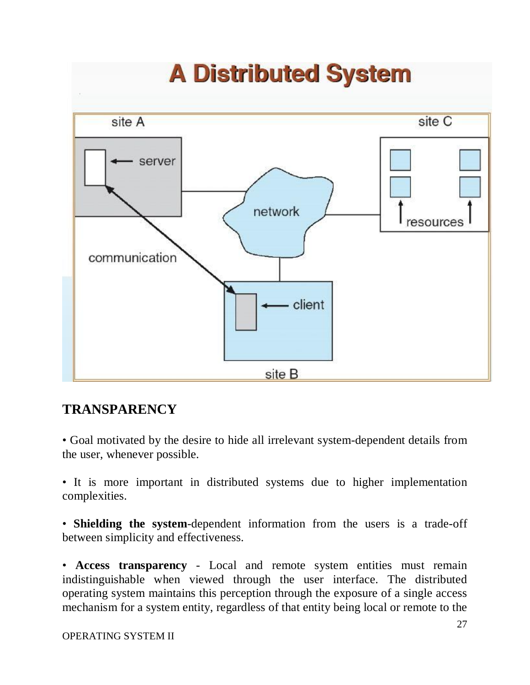

# **TRANSPARENCY**

• Goal motivated by the desire to hide all irrelevant system-dependent details from the user, whenever possible.

• It is more important in distributed systems due to higher implementation complexities.

• **Shielding the system**-dependent information from the users is a trade-off between simplicity and effectiveness.

• **Access transparency** - Local and remote system entities must remain indistinguishable when viewed through the user interface. The distributed operating system maintains this perception through the exposure of a single access mechanism for a system entity, regardless of that entity being local or remote to the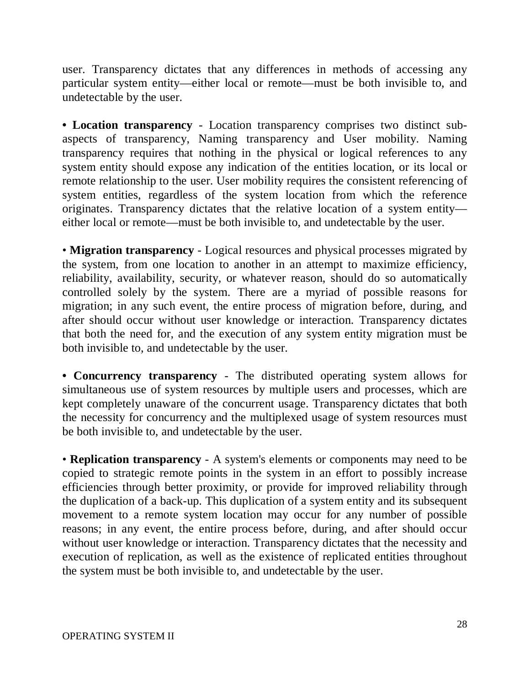user. Transparency dictates that any differences in methods of accessing any particular system entity—either local or remote—must be both invisible to, and undetectable by the user.

**• Location transparency** - Location transparency comprises two distinct subaspects of transparency, Naming transparency and User mobility. Naming transparency requires that nothing in the physical or logical references to any system entity should expose any indication of the entities location, or its local or remote relationship to the user. User mobility requires the consistent referencing of system entities, regardless of the system location from which the reference originates. Transparency dictates that the relative location of a system entity either local or remote—must be both invisible to, and undetectable by the user.

• **Migration transparency** - Logical resources and physical processes migrated by the system, from one location to another in an attempt to maximize efficiency, reliability, availability, security, or whatever reason, should do so automatically controlled solely by the system. There are a myriad of possible reasons for migration; in any such event, the entire process of migration before, during, and after should occur without user knowledge or interaction. Transparency dictates that both the need for, and the execution of any system entity migration must be both invisible to, and undetectable by the user.

**• Concurrency transparency** - The distributed operating system allows for simultaneous use of system resources by multiple users and processes, which are kept completely unaware of the concurrent usage. Transparency dictates that both the necessity for concurrency and the multiplexed usage of system resources must be both invisible to, and undetectable by the user.

• **Replication transparency** - A system's elements or components may need to be copied to strategic remote points in the system in an effort to possibly increase efficiencies through better proximity, or provide for improved reliability through the duplication of a back-up. This duplication of a system entity and its subsequent movement to a remote system location may occur for any number of possible reasons; in any event, the entire process before, during, and after should occur without user knowledge or interaction. Transparency dictates that the necessity and execution of replication, as well as the existence of replicated entities throughout the system must be both invisible to, and undetectable by the user.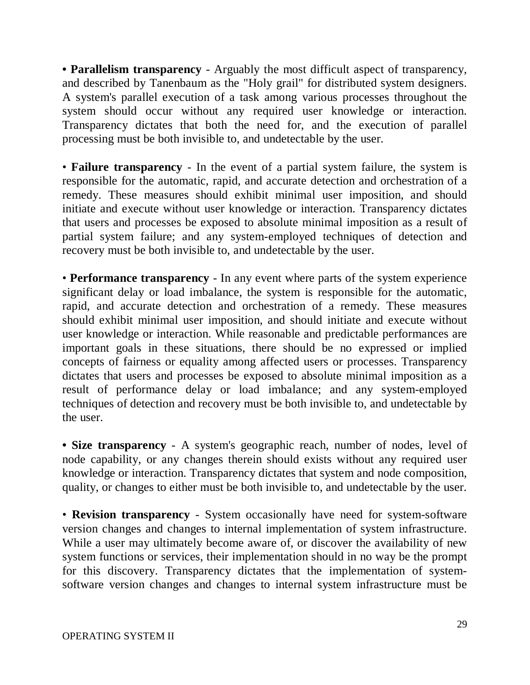**• Parallelism transparency** - Arguably the most difficult aspect of transparency, and described by Tanenbaum as the "Holy grail" for distributed system designers. A system's parallel execution of a task among various processes throughout the system should occur without any required user knowledge or interaction. Transparency dictates that both the need for, and the execution of parallel processing must be both invisible to, and undetectable by the user.

• **Failure transparency** - In the event of a partial system failure, the system is responsible for the automatic, rapid, and accurate detection and orchestration of a remedy. These measures should exhibit minimal user imposition, and should initiate and execute without user knowledge or interaction. Transparency dictates that users and processes be exposed to absolute minimal imposition as a result of partial system failure; and any system-employed techniques of detection and recovery must be both invisible to, and undetectable by the user.

• **Performance transparency** - In any event where parts of the system experience significant delay or load imbalance, the system is responsible for the automatic, rapid, and accurate detection and orchestration of a remedy. These measures should exhibit minimal user imposition, and should initiate and execute without user knowledge or interaction. While reasonable and predictable performances are important goals in these situations, there should be no expressed or implied concepts of fairness or equality among affected users or processes. Transparency dictates that users and processes be exposed to absolute minimal imposition as a result of performance delay or load imbalance; and any system-employed techniques of detection and recovery must be both invisible to, and undetectable by the user.

**• Size transparency** - A system's geographic reach, number of nodes, level of node capability, or any changes therein should exists without any required user knowledge or interaction. Transparency dictates that system and node composition, quality, or changes to either must be both invisible to, and undetectable by the user.

• **Revision transparency** - System occasionally have need for system-software version changes and changes to internal implementation of system infrastructure. While a user may ultimately become aware of, or discover the availability of new system functions or services, their implementation should in no way be the prompt for this discovery. Transparency dictates that the implementation of systemsoftware version changes and changes to internal system infrastructure must be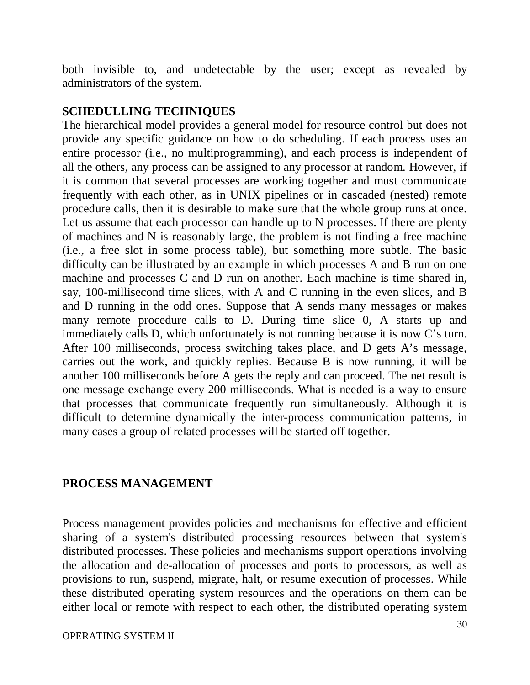both invisible to, and undetectable by the user; except as revealed by administrators of the system.

# **SCHEDULLING TECHNIQUES**

The hierarchical model provides a general model for resource control but does not provide any specific guidance on how to do scheduling. If each process uses an entire processor (i.e., no multiprogramming), and each process is independent of all the others, any process can be assigned to any processor at random. However, if it is common that several processes are working together and must communicate frequently with each other, as in UNIX pipelines or in cascaded (nested) remote procedure calls, then it is desirable to make sure that the whole group runs at once. Let us assume that each processor can handle up to N processes. If there are plenty of machines and N is reasonably large, the problem is not finding a free machine (i.e., a free slot in some process table), but something more subtle. The basic difficulty can be illustrated by an example in which processes A and B run on one machine and processes C and D run on another. Each machine is time shared in, say, 100-millisecond time slices, with A and C running in the even slices, and B and D running in the odd ones. Suppose that A sends many messages or makes many remote procedure calls to D. During time slice 0, A starts up and immediately calls D, which unfortunately is not running because it is now C's turn. After 100 milliseconds, process switching takes place, and D gets A's message, carries out the work, and quickly replies. Because B is now running, it will be another 100 milliseconds before A gets the reply and can proceed. The net result is one message exchange every 200 milliseconds. What is needed is a way to ensure that processes that communicate frequently run simultaneously. Although it is difficult to determine dynamically the inter-process communication patterns, in many cases a group of related processes will be started off together.

# **PROCESS MANAGEMENT**

Process management provides policies and mechanisms for effective and efficient sharing of a system's distributed processing resources between that system's distributed processes. These policies and mechanisms support operations involving the allocation and de-allocation of processes and ports to processors, as well as provisions to run, suspend, migrate, halt, or resume execution of processes. While these distributed operating system resources and the operations on them can be either local or remote with respect to each other, the distributed operating system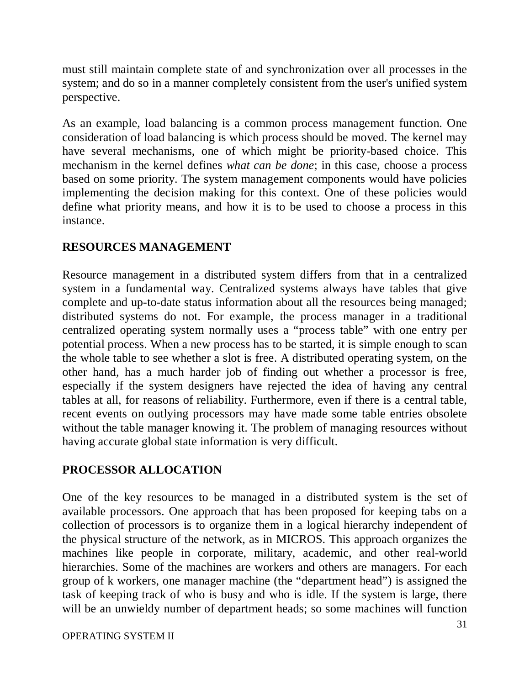must still maintain complete state of and synchronization over all processes in the system; and do so in a manner completely consistent from the user's unified system perspective.

As an example, load balancing is a common process management function. One consideration of load balancing is which process should be moved. The kernel may have several mechanisms, one of which might be priority-based choice. This mechanism in the kernel defines *what can be done*; in this case, choose a process based on some priority. The system management components would have policies implementing the decision making for this context. One of these policies would define what priority means, and how it is to be used to choose a process in this instance.

# **RESOURCES MANAGEMENT**

Resource management in a distributed system differs from that in a centralized system in a fundamental way. Centralized systems always have tables that give complete and up-to-date status information about all the resources being managed; distributed systems do not. For example, the process manager in a traditional centralized operating system normally uses a "process table" with one entry per potential process. When a new process has to be started, it is simple enough to scan the whole table to see whether a slot is free. A distributed operating system, on the other hand, has a much harder job of finding out whether a processor is free, especially if the system designers have rejected the idea of having any central tables at all, for reasons of reliability. Furthermore, even if there is a central table, recent events on outlying processors may have made some table entries obsolete without the table manager knowing it. The problem of managing resources without having accurate global state information is very difficult.

# **PROCESSOR ALLOCATION**

One of the key resources to be managed in a distributed system is the set of available processors. One approach that has been proposed for keeping tabs on a collection of processors is to organize them in a logical hierarchy independent of the physical structure of the network, as in MICROS. This approach organizes the machines like people in corporate, military, academic, and other real-world hierarchies. Some of the machines are workers and others are managers. For each group of k workers, one manager machine (the "department head") is assigned the task of keeping track of who is busy and who is idle. If the system is large, there will be an unwieldy number of department heads; so some machines will function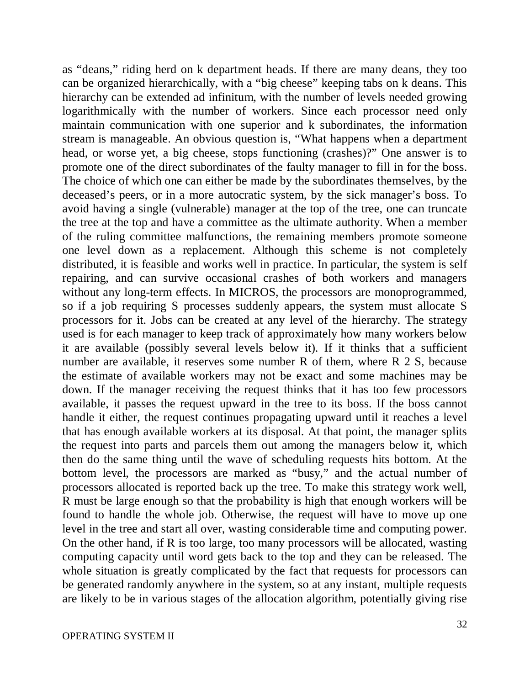as "deans," riding herd on k department heads. If there are many deans, they too can be organized hierarchically, with a "big cheese" keeping tabs on k deans. This hierarchy can be extended ad infinitum, with the number of levels needed growing logarithmically with the number of workers. Since each processor need only maintain communication with one superior and k subordinates, the information stream is manageable. An obvious question is, "What happens when a department head, or worse yet, a big cheese, stops functioning (crashes)?" One answer is to promote one of the direct subordinates of the faulty manager to fill in for the boss. The choice of which one can either be made by the subordinates themselves, by the deceased's peers, or in a more autocratic system, by the sick manager's boss. To avoid having a single (vulnerable) manager at the top of the tree, one can truncate the tree at the top and have a committee as the ultimate authority. When a member of the ruling committee malfunctions, the remaining members promote someone one level down as a replacement. Although this scheme is not completely distributed, it is feasible and works well in practice. In particular, the system is self repairing, and can survive occasional crashes of both workers and managers without any long-term effects. In MICROS, the processors are monoprogrammed, so if a job requiring S processes suddenly appears, the system must allocate S processors for it. Jobs can be created at any level of the hierarchy. The strategy used is for each manager to keep track of approximately how many workers below it are available (possibly several levels below it). If it thinks that a sufficient number are available, it reserves some number R of them, where R 2 S, because the estimate of available workers may not be exact and some machines may be down. If the manager receiving the request thinks that it has too few processors available, it passes the request upward in the tree to its boss. If the boss cannot handle it either, the request continues propagating upward until it reaches a level that has enough available workers at its disposal. At that point, the manager splits the request into parts and parcels them out among the managers below it, which then do the same thing until the wave of scheduling requests hits bottom. At the bottom level, the processors are marked as "busy," and the actual number of processors allocated is reported back up the tree. To make this strategy work well, R must be large enough so that the probability is high that enough workers will be found to handle the whole job. Otherwise, the request will have to move up one level in the tree and start all over, wasting considerable time and computing power. On the other hand, if R is too large, too many processors will be allocated, wasting computing capacity until word gets back to the top and they can be released. The whole situation is greatly complicated by the fact that requests for processors can be generated randomly anywhere in the system, so at any instant, multiple requests are likely to be in various stages of the allocation algorithm, potentially giving rise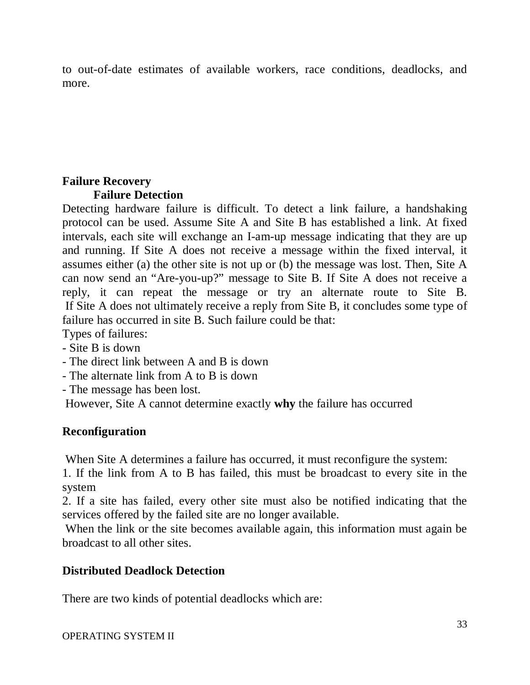to out-of-date estimates of available workers, race conditions, deadlocks, and more.

## **Failure Recovery Failure Detection**

Detecting hardware failure is difficult. To detect a link failure, a handshaking protocol can be used. Assume Site A and Site B has established a link. At fixed intervals, each site will exchange an I-am-up message indicating that they are up and running. If Site A does not receive a message within the fixed interval, it assumes either (a) the other site is not up or (b) the message was lost. Then, Site A can now send an "Are-you-up?" message to Site B. If Site A does not receive a reply, it can repeat the message or try an alternate route to Site B. If Site A does not ultimately receive a reply from Site B, it concludes some type of failure has occurred in site B. Such failure could be that:

Types of failures:

- Site B is down
- The direct link between A and B is down
- The alternate link from A to B is down
- The message has been lost.

However, Site A cannot determine exactly **why** the failure has occurred

# **Reconfiguration**

When Site A determines a failure has occurred, it must reconfigure the system:

1. If the link from A to B has failed, this must be broadcast to every site in the system

2. If a site has failed, every other site must also be notified indicating that the services offered by the failed site are no longer available.

When the link or the site becomes available again, this information must again be broadcast to all other sites.

# **Distributed Deadlock Detection**

There are two kinds of potential deadlocks which are: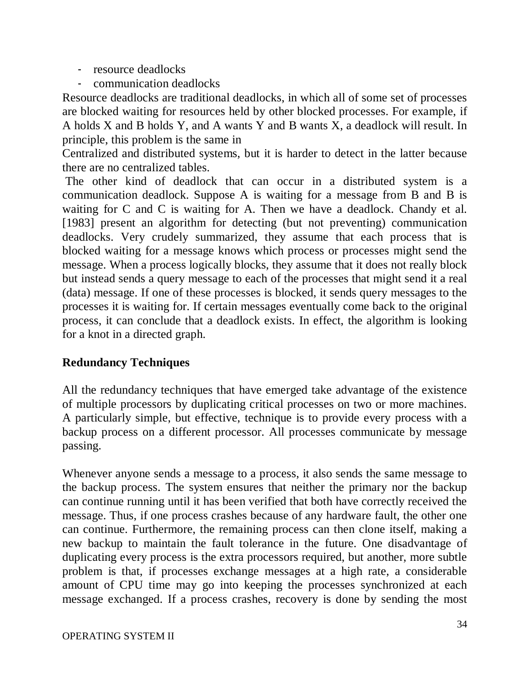- resource deadlocks

- communication deadlocks

Resource deadlocks are traditional deadlocks, in which all of some set of processes are blocked waiting for resources held by other blocked processes. For example, if A holds X and B holds Y, and A wants Y and B wants X, a deadlock will result. In principle, this problem is the same in

Centralized and distributed systems, but it is harder to detect in the latter because there are no centralized tables.

The other kind of deadlock that can occur in a distributed system is a communication deadlock. Suppose A is waiting for a message from B and B is waiting for C and C is waiting for A. Then we have a deadlock. Chandy et al. [1983] present an algorithm for detecting (but not preventing) communication deadlocks. Very crudely summarized, they assume that each process that is blocked waiting for a message knows which process or processes might send the message. When a process logically blocks, they assume that it does not really block but instead sends a query message to each of the processes that might send it a real (data) message. If one of these processes is blocked, it sends query messages to the processes it is waiting for. If certain messages eventually come back to the original process, it can conclude that a deadlock exists. In effect, the algorithm is looking for a knot in a directed graph.

# **Redundancy Techniques**

All the redundancy techniques that have emerged take advantage of the existence of multiple processors by duplicating critical processes on two or more machines. A particularly simple, but effective, technique is to provide every process with a backup process on a different processor. All processes communicate by message passing.

Whenever anyone sends a message to a process, it also sends the same message to the backup process. The system ensures that neither the primary nor the backup can continue running until it has been verified that both have correctly received the message. Thus, if one process crashes because of any hardware fault, the other one can continue. Furthermore, the remaining process can then clone itself, making a new backup to maintain the fault tolerance in the future. One disadvantage of duplicating every process is the extra processors required, but another, more subtle problem is that, if processes exchange messages at a high rate, a considerable amount of CPU time may go into keeping the processes synchronized at each message exchanged. If a process crashes, recovery is done by sending the most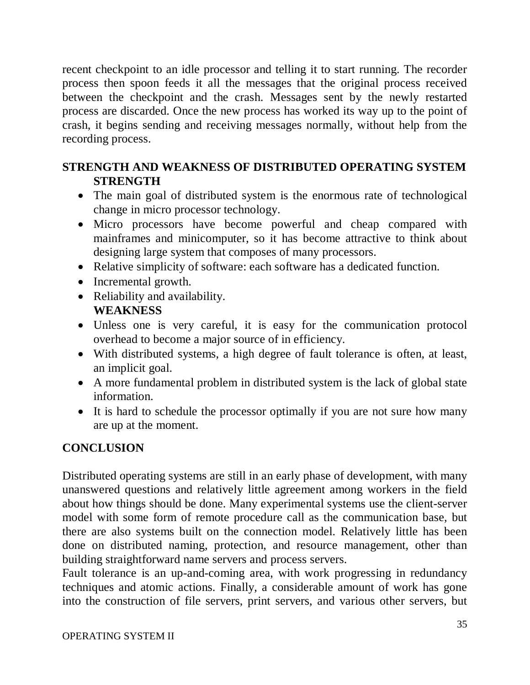recent checkpoint to an idle processor and telling it to start running. The recorder process then spoon feeds it all the messages that the original process received between the checkpoint and the crash. Messages sent by the newly restarted process are discarded. Once the new process has worked its way up to the point of crash, it begins sending and receiving messages normally, without help from the recording process.

# **STRENGTH AND WEAKNESS OF DISTRIBUTED OPERATING SYSTEM STRENGTH**

- The main goal of distributed system is the enormous rate of technological change in micro processor technology.
- Micro processors have become powerful and cheap compared with mainframes and minicomputer, so it has become attractive to think about designing large system that composes of many processors.
- Relative simplicity of software: each software has a dedicated function.
- Incremental growth.
- Reliability and availability. **WEAKNESS**
- Unless one is very careful, it is easy for the communication protocol overhead to become a major source of in efficiency.
- With distributed systems, a high degree of fault tolerance is often, at least, an implicit goal.
- A more fundamental problem in distributed system is the lack of global state information.
- It is hard to schedule the processor optimally if you are not sure how many are up at the moment.

# **CONCLUSION**

Distributed operating systems are still in an early phase of development, with many unanswered questions and relatively little agreement among workers in the field about how things should be done. Many experimental systems use the client-server model with some form of remote procedure call as the communication base, but there are also systems built on the connection model. Relatively little has been done on distributed naming, protection, and resource management, other than building straightforward name servers and process servers.

Fault tolerance is an up-and-coming area, with work progressing in redundancy techniques and atomic actions. Finally, a considerable amount of work has gone into the construction of file servers, print servers, and various other servers, but